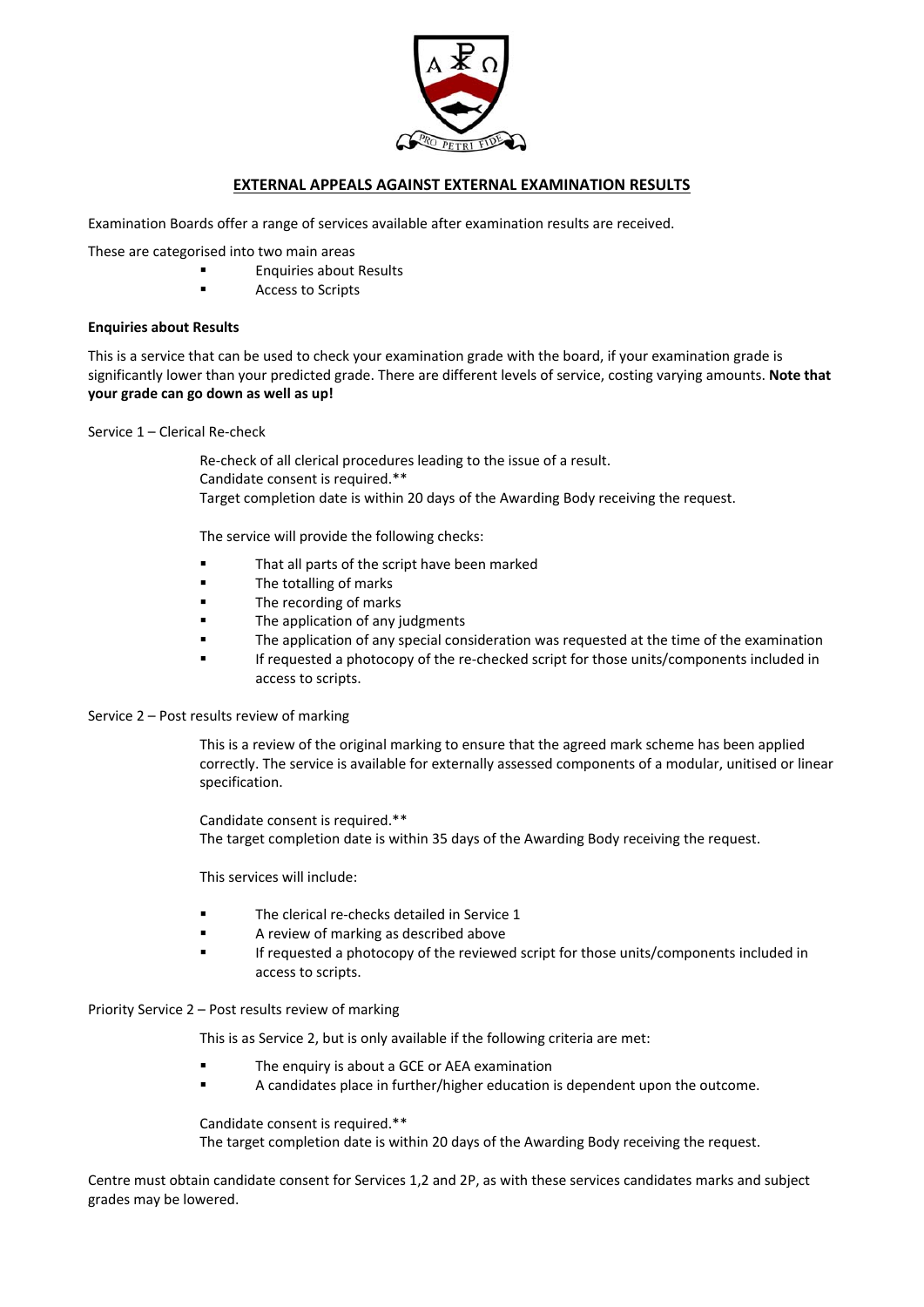

## **EXTERNAL APPEALS AGAINST EXTERNAL EXAMINATION RESULTS**

Examination Boards offer a range of services available after examination results are received.

These are categorised into two main areas

- Enquiries about Results
- **Access to Scripts**

### **Enquiries about Results**

This is a service that can be used to check your examination grade with the board, if your examination grade is significantly lower than your predicted grade. There are different levels of service, costing varying amounts. **Note that your grade can go down as well as up!**

Service 1 – Clerical Re‐check

Re‐check of all clerical procedures leading to the issue of a result. Candidate consent is required.\*\* Target completion date is within 20 days of the Awarding Body receiving the request.

The service will provide the following checks:

- **That all parts of the script have been marked**
- **The totalling of marks**
- The recording of marks
- **Example 2** The application of any judgments
- The application of any special consideration was requested at the time of the examination
- If requested a photocopy of the re-checked script for those units/components included in access to scripts.

#### Service 2 – Post results review of marking

This is a review of the original marking to ensure that the agreed mark scheme has been applied correctly. The service is available for externally assessed components of a modular, unitised or linear specification.

Candidate consent is required.\*\* The target completion date is within 35 days of the Awarding Body receiving the request.

This services will include:

- The clerical re-checks detailed in Service 1
- **A** review of marking as described above
- If requested a photocopy of the reviewed script for those units/components included in access to scripts.

#### Priority Service 2 – Post results review of marking

This is as Service 2, but is only available if the following criteria are met:

- The enquiry is about a GCE or AEA examination
- A candidates place in further/higher education is dependent upon the outcome.

Candidate consent is required.\*\* The target completion date is within 20 days of the Awarding Body receiving the request.

Centre must obtain candidate consent for Services 1,2 and 2P, as with these services candidates marks and subject grades may be lowered.